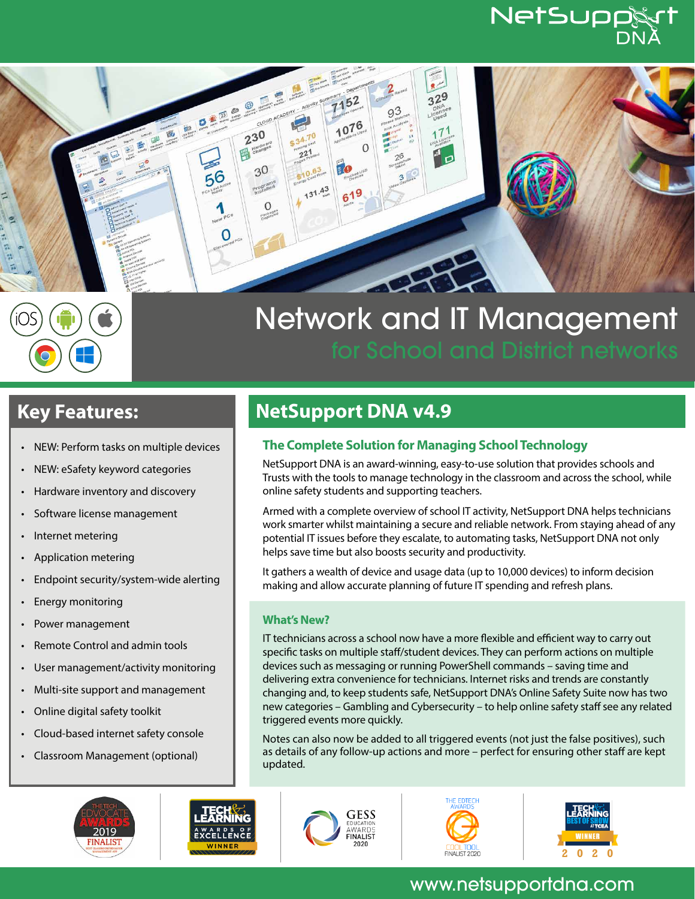# NetSupp



# Network and IT Management

- NEW: Perform tasks on multiple devices
- NEW: eSafety keyword categories
- Hardware inventory and discovery
- Software license management
- Internet metering
- Application metering
- Endpoint security/system-wide alerting
- Energy monitoring
- Power management
- Remote Control and admin tools
- User management/activity monitoring
- Multi-site support and management
- Online digital safety toolkit
- Cloud-based internet safety console
- Classroom Management (optional)





# **Key Features: NetSupport DNA v4.9**

## **The Complete Solution for Managing School Technology**

NetSupport DNA is an award-winning, easy-to-use solution that provides schools and Trusts with the tools to manage technology in the classroom and across the school, while online safety students and supporting teachers.

Armed with a complete overview of school IT activity, NetSupport DNA helps technicians work smarter whilst maintaining a secure and reliable network. From staying ahead of any potential IT issues before they escalate, to automating tasks, NetSupport DNA not only helps save time but also boosts security and productivity.

It gathers a wealth of device and usage data (up to 10,000 devices) to inform decision making and allow accurate planning of future IT spending and refresh plans.

### **What's New?**

IT technicians across a school now have a more flexible and efficient way to carry out specific tasks on multiple staff/student devices. They can perform actions on multiple devices such as messaging or running PowerShell commands – saving time and delivering extra convenience for technicians. Internet risks and trends are constantly changing and, to keep students safe, NetSupport DNA's Online Safety Suite now has two new categories – Gambling and Cybersecurity – to help online safety staff see any related triggered events more quickly.

Notes can also now be added to all triggered events (not just the false positives), such as details of any follow-up actions and more – perfect for ensuring other staff are kept updated.







# www.netsupportdna.com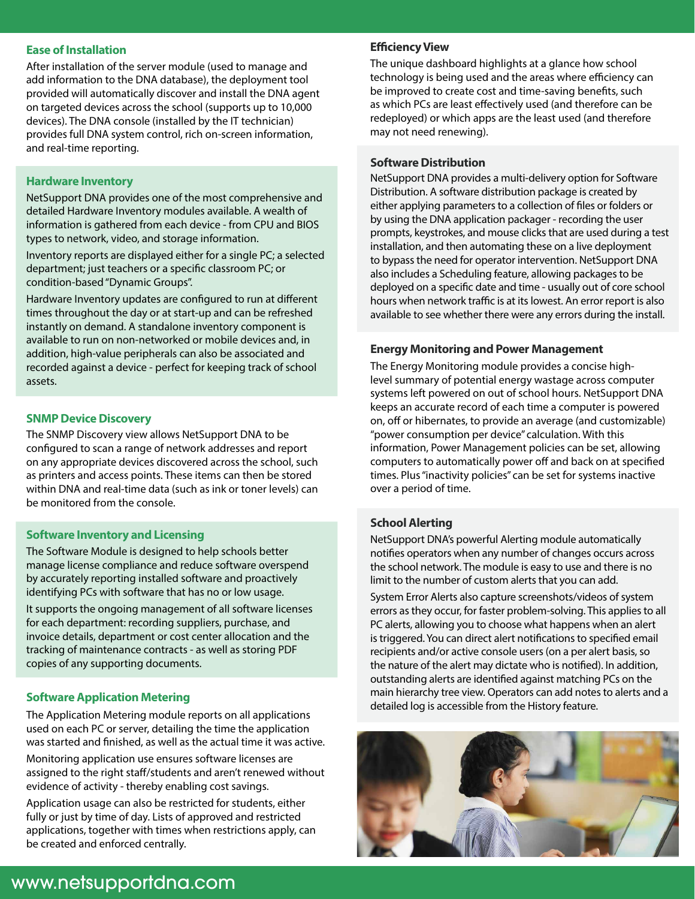#### **Ease of Installation**

After installation of the server module (used to manage and add information to the DNA database), the deployment tool provided will automatically discover and install the DNA agent on targeted devices across the school (supports up to 10,000 devices). The DNA console (installed by the IT technician) provides full DNA system control, rich on-screen information, and real-time reporting.

#### **Hardware Inventory**

NetSupport DNA provides one of the most comprehensive and detailed Hardware Inventory modules available. A wealth of information is gathered from each device - from CPU and BIOS types to network, video, and storage information.

Inventory reports are displayed either for a single PC; a selected department; just teachers or a specific classroom PC; or condition-based "Dynamic Groups".

Hardware Inventory updates are configured to run at different times throughout the day or at start-up and can be refreshed instantly on demand. A standalone inventory component is available to run on non-networked or mobile devices and, in addition, high-value peripherals can also be associated and recorded against a device - perfect for keeping track of school assets.

#### **SNMP Device Discovery**

The SNMP Discovery view allows NetSupport DNA to be configured to scan a range of network addresses and report on any appropriate devices discovered across the school, such as printers and access points. These items can then be stored within DNA and real-time data (such as ink or toner levels) can be monitored from the console.

#### **Software Inventory and Licensing**

The Software Module is designed to help schools better manage license compliance and reduce software overspend by accurately reporting installed software and proactively identifying PCs with software that has no or low usage.

It supports the ongoing management of all software licenses for each department: recording suppliers, purchase, and invoice details, department or cost center allocation and the tracking of maintenance contracts - as well as storing PDF copies of any supporting documents.

#### **Software Application Metering**

The Application Metering module reports on all applications used on each PC or server, detailing the time the application was started and finished, as well as the actual time it was active.

Monitoring application use ensures software licenses are assigned to the right staff/students and aren't renewed without evidence of activity - thereby enabling cost savings.

Application usage can also be restricted for students, either fully or just by time of day. Lists of approved and restricted applications, together with times when restrictions apply, can be created and enforced centrally.

#### **Efficiency View**

The unique dashboard highlights at a glance how school technology is being used and the areas where efficiency can be improved to create cost and time-saving benefits, such as which PCs are least effectively used (and therefore can be redeployed) or which apps are the least used (and therefore may not need renewing).

#### **Software Distribution**

NetSupport DNA provides a multi-delivery option for Software Distribution. A software distribution package is created by either applying parameters to a collection of files or folders or by using the DNA application packager - recording the user prompts, keystrokes, and mouse clicks that are used during a test installation, and then automating these on a live deployment to bypass the need for operator intervention. NetSupport DNA also includes a Scheduling feature, allowing packages to be deployed on a specific date and time - usually out of core school hours when network traffic is at its lowest. An error report is also available to see whether there were any errors during the install.

#### **Energy Monitoring and Power Management**

The Energy Monitoring module provides a concise highlevel summary of potential energy wastage across computer systems left powered on out of school hours. NetSupport DNA keeps an accurate record of each time a computer is powered on, off or hibernates, to provide an average (and customizable) "power consumption per device" calculation. With this information, Power Management policies can be set, allowing computers to automatically power off and back on at specified times. Plus "inactivity policies" can be set for systems inactive over a period of time.

#### **School Alerting**

NetSupport DNA's powerful Alerting module automatically notifies operators when any number of changes occurs across the school network. The module is easy to use and there is no limit to the number of custom alerts that you can add.

System Error Alerts also capture screenshots/videos of system errors as they occur, for faster problem-solving. This applies to all PC alerts, allowing you to choose what happens when an alert is triggered. You can direct alert notifications to specified email recipients and/or active console users (on a per alert basis, so the nature of the alert may dictate who is notified). In addition, outstanding alerts are identified against matching PCs on the main hierarchy tree view. Operators can add notes to alerts and a detailed log is accessible from the History feature.



## www.netsupportdna.com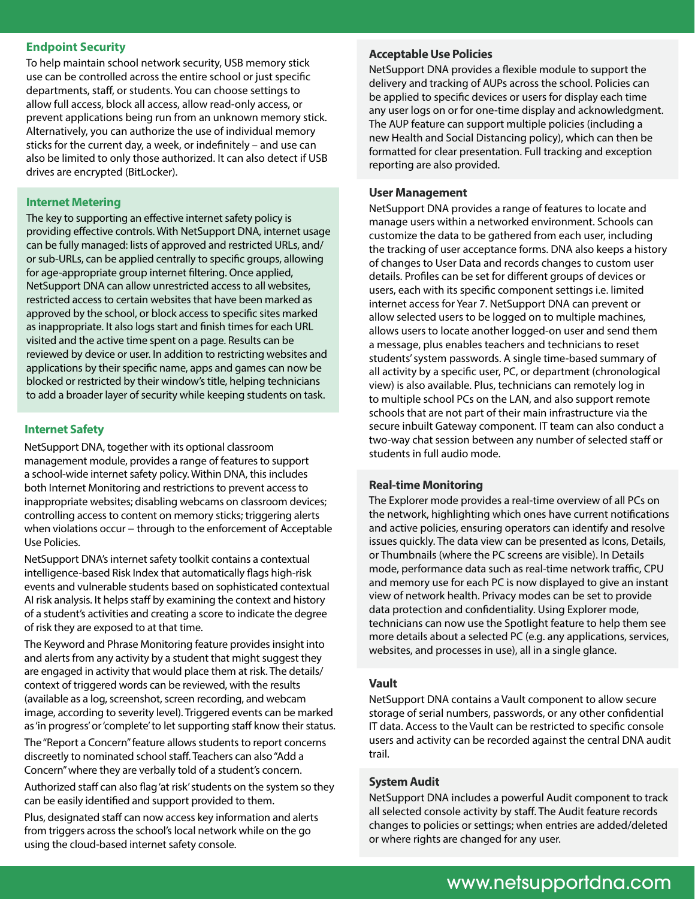#### **Endpoint Security**

To help maintain school network security, USB memory stick use can be controlled across the entire school or just specific departments, staff, or students. You can choose settings to allow full access, block all access, allow read-only access, or prevent applications being run from an unknown memory stick. Alternatively, you can authorize the use of individual memory sticks for the current day, a week, or indefinitely – and use can also be limited to only those authorized. It can also detect if USB drives are encrypted (BitLocker).

The key to supporting an effective internet safety policy is providing effective controls. With NetSupport DNA, internet usage can be fully managed: lists of approved and restricted URLs, and/ or sub-URLs, can be applied centrally to specific groups, allowing for age-appropriate group internet filtering. Once applied, NetSupport DNA can allow unrestricted access to all websites, restricted access to certain websites that have been marked as approved by the school, or block access to specific sites marked as inappropriate. It also logs start and finish times for each URL visited and the active time spent on a page. Results can be reviewed by device or user. In addition to restricting websites and applications by their specific name, apps and games can now be blocked or restricted by their window's title, helping technicians to add a broader layer of security while keeping students on task.

#### **Internet Safety**

NetSupport DNA, together with its optional classroom management module, provides a range of features to support a school-wide internet safety policy. Within DNA, this includes both Internet Monitoring and restrictions to prevent access to inappropriate websites; disabling webcams on classroom devices; controlling access to content on memory sticks; triggering alerts when violations occur – through to the enforcement of Acceptable Use Policies.

NetSupport DNA's internet safety toolkit contains a contextual intelligence-based Risk Index that automatically flags high-risk events and vulnerable students based on sophisticated contextual AI risk analysis. It helps staff by examining the context and history of a student's activities and creating a score to indicate the degree of risk they are exposed to at that time.

The Keyword and Phrase Monitoring feature provides insight into and alerts from any activity by a student that might suggest they are engaged in activity that would place them at risk. The details/ context of triggered words can be reviewed, with the results (available as a log, screenshot, screen recording, and webcam image, according to severity level). Triggered events can be marked as 'in progress' or 'complete' to let supporting staff know their status.

The "Report a Concern" feature allows students to report concerns discreetly to nominated school staff. Teachers can also "Add a Concern" where they are verbally told of a student's concern.

Authorized staff can also flag 'at risk' students on the system so they can be easily identified and support provided to them.

Plus, designated staff can now access key information and alerts from triggers across the school's local network while on the go using the cloud-based internet safety console.

#### **Acceptable Use Policies**

NetSupport DNA provides a flexible module to support the delivery and tracking of AUPs across the school. Policies can be applied to specific devices or users for display each time any user logs on or for one-time display and acknowledgment. The AUP feature can support multiple policies (including a new Health and Social Distancing policy), which can then be formatted for clear presentation. Full tracking and exception reporting are also provided.

# **Internet Metering User Management**

NetSupport DNA provides a range of features to locate and manage users within a networked environment. Schools can customize the data to be gathered from each user, including the tracking of user acceptance forms. DNA also keeps a history of changes to User Data and records changes to custom user details. Profiles can be set for different groups of devices or users, each with its specific component settings i.e. limited internet access for Year 7. NetSupport DNA can prevent or allow selected users to be logged on to multiple machines, allows users to locate another logged-on user and send them a message, plus enables teachers and technicians to reset students' system passwords. A single time-based summary of all activity by a specific user, PC, or department (chronological view) is also available. Plus, technicians can remotely log in to multiple school PCs on the LAN, and also support remote schools that are not part of their main infrastructure via the secure inbuilt Gateway component. IT team can also conduct a two-way chat session between any number of selected staff or students in full audio mode.

#### **Real-time Monitoring**

The Explorer mode provides a real-time overview of all PCs on the network, highlighting which ones have current notifications and active policies, ensuring operators can identify and resolve issues quickly. The data view can be presented as Icons, Details, or Thumbnails (where the PC screens are visible). In Details mode, performance data such as real-time network traffic, CPU and memory use for each PC is now displayed to give an instant view of network health. Privacy modes can be set to provide data protection and confidentiality. Using Explorer mode, technicians can now use the Spotlight feature to help them see more details about a selected PC (e.g. any applications, services, websites, and processes in use), all in a single glance.

#### **Vault**

NetSupport DNA contains a Vault component to allow secure storage of serial numbers, passwords, or any other confidential IT data. Access to the Vault can be restricted to specific console users and activity can be recorded against the central DNA audit trail.

#### **System Audit**

NetSupport DNA includes a powerful Audit component to track all selected console activity by staff. The Audit feature records changes to policies or settings; when entries are added/deleted or where rights are changed for any user.